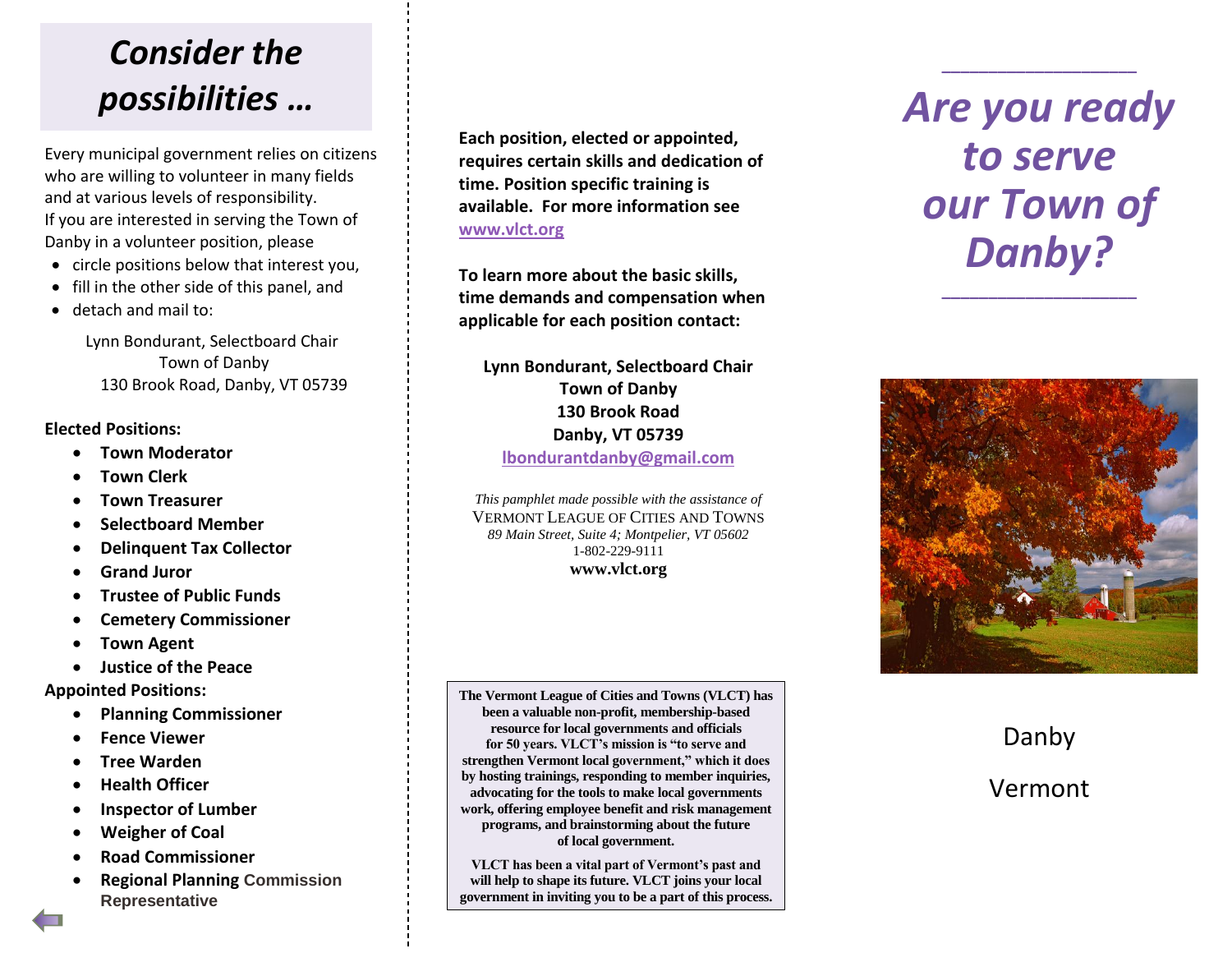## *Consider the possibilities …*

Every municipal government relies on citizens who are willing to volunteer in many fields and at various levels of responsibility. If you are interested in serving the Town of Danby in a volunteer position, please

- circle positions below that interest you,
- fill in the other side of this panel, and
- detach and mail to:

Lynn Bondurant, Selectboard Chair Town of Danby 130 Brook Road, Danby, VT 05739

#### **Elected Positions:**

- **Town Moderator**
- **Town Clerk**
- **Town Treasurer**
- **Selectboard Member**
- **Delinquent Tax Collector**
- **Grand Juror**
- **Trustee of Public Funds**
- **Cemetery Commissioner**
- **Town Agent**
- **Justice of the Peace**

### **Appointed Positions:**

- **Planning Commissioner**
- **Fence Viewer**
- **Tree Warden**
- **•** Health Officer
- **Inspector of Lumber**
- **Weigher of Coal**
- **Road Commissioner**
- **Regional Planning Commission Representative**

**Each position, elected or appointed, requires certain skills and dedication of time. Position specific training is available. For more information see [www.vlct.org](http://www.vlct.org/)**

**To learn more about the basic skills, time demands and compensation when applicable for each position contact:**

**Lynn Bondurant, Selectboard Chair Town of Danby 130 Brook Road Danby, VT 05739**

**[lbondurantdanby@gmail.com](mailto:lbondurantdanby@gmail.com)**

*This pamphlet made possible with the assistance of* VERMONT LEAGUE OF CITIES AND TOWNS *89 Main Street, Suite 4; Montpelier, VT 05602* 1-802-229-9111 **www.vlct.org**

**The Vermont League of Cities and Towns (VLCT) has been a valuable non-profit, membership-based resource for local governments and officials for 50 years. VLCT's mission is "to serve and strengthen Vermont local government," which it does by hosting trainings, responding to member inquiries, advocating for the tools to make local governments work, offering employee benefit and risk management programs, and brainstorming about the future of local government.**

**VLCT has been a vital part of Vermont's past and will help to shape its future. VLCT joins your local government in inviting you to be a part of this process.**

# *Are you ready to serve our Town of Danby?*

**\_\_\_\_\_\_\_\_\_\_\_\_\_\_\_\_\_\_\_\_\_**

**\_\_\_\_\_\_\_\_\_\_\_\_\_\_\_\_\_\_\_\_\_**



Danby Vermont